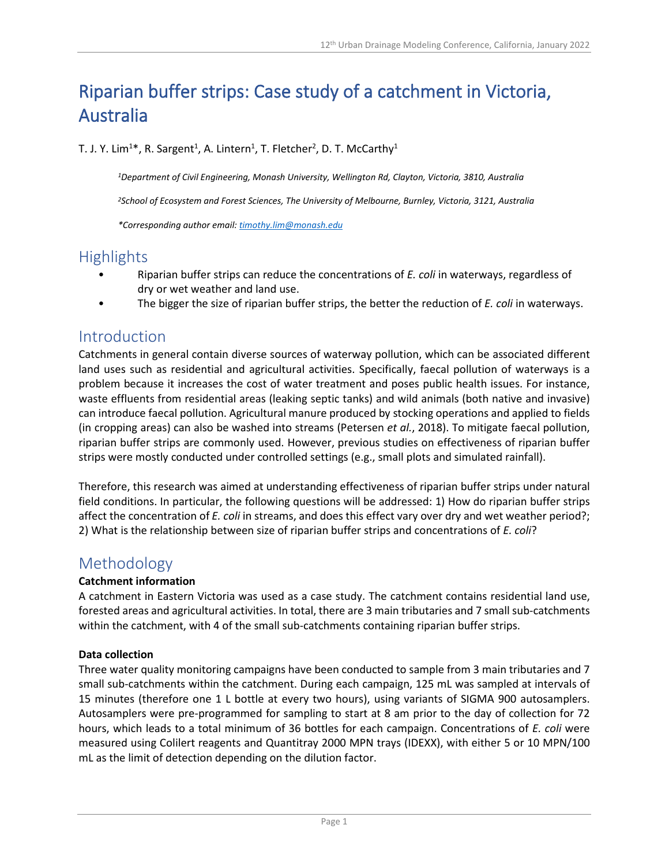# Riparian buffer strips: Case study of a catchment in Victoria, Australia

T. J. Y. Lim<sup>1\*</sup>, R. Sargent<sup>1</sup>, A. Lintern<sup>1</sup>, T. Fletcher<sup>2</sup>, D. T. McCarthy<sup>1</sup>

*1Department of Civil Engineering, Monash University, Wellington Rd, Clayton, Victoria, 3810, Australia*

*2School of Ecosystem and Forest Sciences, The University of Melbourne, Burnley, Victoria, 3121, Australia*

*\*Corresponding author email: [timothy.lim@monash.edu](mailto:e.murphy@companya.com)*

### **Highlights**

- Riparian buffer strips can reduce the concentrations of *E. coli* in waterways, regardless of dry or wet weather and land use.
- The bigger the size of riparian buffer strips, the better the reduction of *E. coli* in waterways.

### Introduction

Catchments in general contain diverse sources of waterway pollution, which can be associated different land uses such as residential and agricultural activities. Specifically, faecal pollution of waterways is a problem because it increases the cost of water treatment and poses public health issues. For instance, waste effluents from residential areas (leaking septic tanks) and wild animals (both native and invasive) can introduce faecal pollution. Agricultural manure produced by stocking operations and applied to fields (in cropping areas) can also be washed into streams (Petersen *et al.*, 2018). To mitigate faecal pollution, riparian buffer strips are commonly used. However, previous studies on effectiveness of riparian buffer strips were mostly conducted under controlled settings (e.g., small plots and simulated rainfall).

Therefore, this research was aimed at understanding effectiveness of riparian buffer strips under natural field conditions. In particular, the following questions will be addressed: 1) How do riparian buffer strips affect the concentration of *E. coli* in streams, and does this effect vary over dry and wet weather period?; 2) What is the relationship between size of riparian buffer strips and concentrations of *E. coli*?

### Methodology

#### **Catchment information**

A catchment in Eastern Victoria was used as a case study. The catchment contains residential land use, forested areas and agricultural activities. In total, there are 3 main tributaries and 7 small sub-catchments within the catchment, with 4 of the small sub-catchments containing riparian buffer strips.

#### **Data collection**

Three water quality monitoring campaigns have been conducted to sample from 3 main tributaries and 7 small sub-catchments within the catchment. During each campaign, 125 mL was sampled at intervals of 15 minutes (therefore one 1 L bottle at every two hours), using variants of SIGMA 900 autosamplers. Autosamplers were pre-programmed for sampling to start at 8 am prior to the day of collection for 72 hours, which leads to a total minimum of 36 bottles for each campaign. Concentrations of *E. coli* were measured using Colilert reagents and Quantitray 2000 MPN trays (IDEXX), with either 5 or 10 MPN/100 mL as the limit of detection depending on the dilution factor.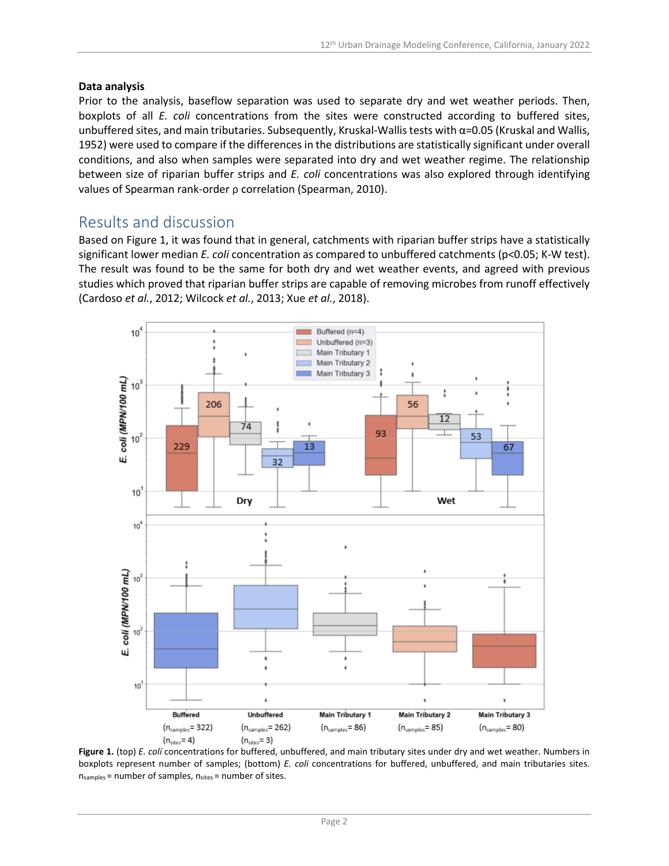#### **Data analysis**

Prior to the analysis, baseflow separation was used to separate dry and wet weather periods. Then, boxplots of all *E. coli* concentrations from the sites were constructed according to buffered sites, unbuffered sites, and main tributaries. Subsequently, Kruskal-Wallis tests with  $\alpha$ =0.05 (Kruskal and Wallis, 1952) were used to compare if the differences in the distributions are statistically significant under overall conditions, and also when samples were separated into dry and wet weather regime. The relationship between size of riparian buffer strips and *E. coli* concentrations was also explored through identifying values of Spearman rank-order ρ correlation (Spearman, 2010).

### Results and discussion

Based on Figure 1, it was found that in general, catchments with riparian buffer strips have a statistically significant lower median *E. coli* concentration as compared to unbuffered catchments (p<0.05; K-W test). The result was found to be the same for both dry and wet weather events, and agreed with previous studies which proved that riparian buffer strips are capable of removing microbes from runoff effectively (Cardoso *et al.*, 2012; Wilcock *et al.*, 2013; Xue *et al.*, 2018).



**Figure 1.** (top) *E. coli* concentrations for buffered, unbuffered, and main tributary sites under dry and wet weather. Numbers in boxplots represent number of samples; (bottom) *E. coli* concentrations for buffered, unbuffered, and main tributaries sites.  $n_{samples}$  = number of samples,  $n_{sites}$  = number of sites.